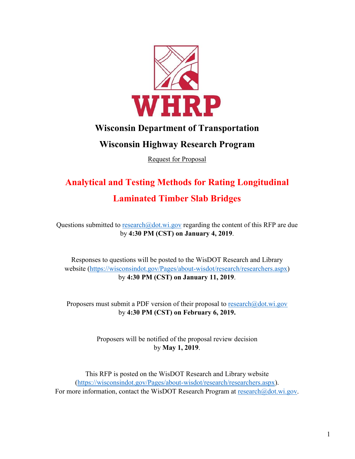

## **Wisconsin Department of Transportation**

# **Wisconsin Highway Research Program**

Request for Proposal

# **Analytical and Testing Methods for Rating Longitudinal Laminated Timber Slab Bridges**

Questions submitted to [research@dot.wi.gov](mailto:research@dot.wi.gov) regarding the content of this RFP are due by **4:30 PM (CST) on January 4, 2019**.

Responses to questions will be posted to the WisDOT Research and Library website [\(https://wisconsindot.gov/Pages/about-wisdot/research/researchers.aspx\)](https://wisconsindot.gov/Pages/about-wisdot/research/researchers.aspx) by **4:30 PM (CST) on January 11, 2019**.

Proposers must submit a PDF version of their proposal to [research@dot.wi.gov](mailto:research@dot.wi.gov) by **4:30 PM (CST) on February 6, 2019.**

> Proposers will be notified of the proposal review decision by **May 1, 2019**.

This RFP is posted on the WisDOT Research and Library website [\(https://wisconsindot.gov/Pages/about-wisdot/research/researchers.aspx\)](https://wisconsindot.gov/Pages/about-wisdot/research/researchers.aspx). For more information, contact the WisDOT Research Program at [research@dot.wi.gov.](mailto:research@dot.wi.gov)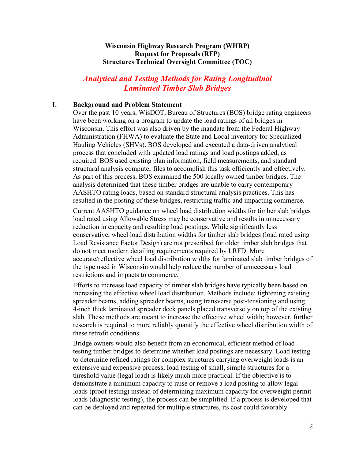## **Wisconsin Highway Research Program (WHRP) Request for Proposals (RFP) Structures Technical Oversight Committee (TOC)**

## *Analytical and Testing Methods for Rating Longitudinal Laminated Timber Slab Bridges*

#### I. **Background and Problem Statement**

Over the past 10 years, WisDOT, Bureau of Structures (BOS) bridge rating engineers have been working on a program to update the load ratings of all bridges in Wisconsin. This effort was also driven by the mandate from the Federal Highway Administration (FHWA) to evaluate the State and Local inventory for Specialized Hauling Vehicles (SHVs). BOS developed and executed a data-driven analytical process that concluded with updated load ratings and load postings added, as required. BOS used existing plan information, field measurements, and standard structural analysis computer files to accomplish this task efficiently and effectively. As part of this process, BOS examined the 500 locally owned timber bridges. The analysis determined that these timber bridges are unable to carry contemporary AASHTO rating loads, based on standard structural analysis practices. This has resulted in the posting of these bridges, restricting traffic and impacting commerce.

Current AASHTO guidance on wheel load distribution widths for timber slab bridges load rated using Allowable Stress may be conservative and results in unnecessary reduction in capacity and resulting load postings. While significantly less conservative, wheel load distribution widths for timber slab bridges (load rated using Load Resistance Factor Design) are not prescribed for older timber slab bridges that do not meet modern detailing requirements required by LRFD. More accurate/reflective wheel load distribution widths for laminated slab timber bridges of the type used in Wisconsin would help reduce the number of unnecessary load restrictions and impacts to commerce.

Efforts to increase load capacity of timber slab bridges have typically been based on increasing the effective wheel load distribution. Methods include: tightening existing spreader beams, adding spreader beams, using transverse post-tensioning and using 4-inch thick laminated spreader deck panels placed transversely on top of the existing slab. These methods are meant to increase the effective wheel width; however, further research is required to more reliably quantify the effective wheel distribution width of these retrofit conditions.

Bridge owners would also benefit from an economical, efficient method of load testing timber bridges to determine whether load postings are necessary. Load testing to determine refined ratings for complex structures carrying overweight loads is an extensive and expensive process; load testing of small, simple structures for a threshold value (legal load) is likely much more practical. If the objective is to demonstrate a minimum capacity to raise or remove a load posting to allow legal loads (proof testing) instead of determining maximum capacity for overweight permit loads (diagnostic testing), the process can be simplified. If a process is developed that can be deployed and repeated for multiple structures, its cost could favorably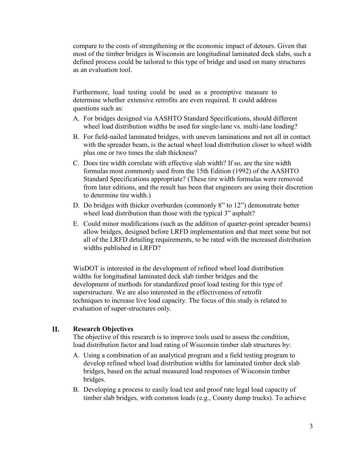compare to the costs of strengthening or the economic impact of detours. Given that most of the timber bridges in Wisconsin are longitudinal laminated deck slabs, such a defined process could be tailored to this type of bridge and used on many structures as an evaluation tool.

Furthermore, load testing could be used as a preemptive measure to determine whether extensive retrofits are even required. It could address questions such as:

- A. For bridges designed via AASHTO Standard Specifications, should different wheel load distribution widths be used for single-lane vs. multi-lane loading?
- B. For field-nailed laminated bridges, with uneven laminations and not all in contact with the spreader beam, is the actual wheel load distribution closer to wheel width plus one or two times the slab thickness?
- C. Does tire width correlate with effective slab width? If so, are the tire width formulas most commonly used from the 15th Edition (1992) of the AASHTO Standard Specifications appropriate? (These tire width formulas were removed from later editions, and the result has been that engineers are using their discretion to determine tire width.)
- D. Do bridges with thicker overburden (commonly 8" to 12") demonstrate better wheel load distribution than those with the typical 3" asphalt?
- E. Could minor modifications (such as the addition of quarter-point spreader beams) allow bridges, designed before LRFD implementation and that meet some but not all of the LRFD detailing requirements, to be rated with the increased distribution widths published in LRFD?

WisDOT is interested in the development of refined wheel load distribution widths for longitudinal laminated deck slab timber bridges and the development of methods for standardized proof load testing for this type of superstructure. We are also interested in the effectiveness of retrofit techniques to increase live load capacity. The focus of this study is related to evaluation of super-structures only.

#### **II. Research Objectives**

The objective of this research is to improve tools used to assess the condition, load distribution factor and load rating of Wisconsin timber slab structures by:

- A. Using a combination of an analytical program and a field testing program to develop refined wheel load distribution widths for laminated timber deck slab bridges, based on the actual measured load responses of Wisconsin timber bridges.
- B. Developing a process to easily load test and proof rate legal load capacity of timber slab bridges, with common loads (e.g., County dump trucks). To achieve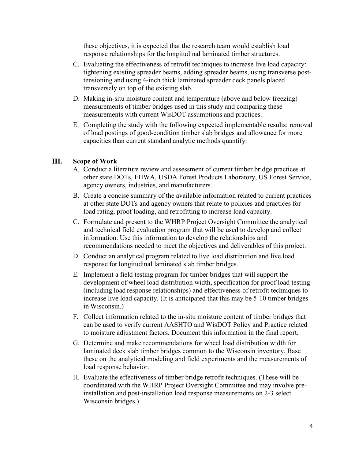these objectives, it is expected that the research team would establish load response relationships for the longitudinal laminated timber structures.

- C. Evaluating the effectiveness of retrofit techniques to increase live load capacity: tightening existing spreader beams, adding spreader beams, using transverse posttensioning and using 4-inch thick laminated spreader deck panels placed transversely on top of the existing slab.
- D. Making in-situ moisture content and temperature (above and below freezing) measurements of timber bridges used in this study and comparing these measurements with current WisDOT assumptions and practices.
- E. Completing the study with the following expected implementable results: removal of load postings of good-condition timber slab bridges and allowance for more capacities than current standard analytic methods quantify.

#### III. **Scope of Work**

- A. Conduct a literature review and assessment of current timber bridge practices at other state DOTs, FHWA, USDA Forest Products Laboratory, US Forest Service, agency owners, industries, and manufacturers.
- B. Create a concise summary of the available information related to current practices at other state DOTs and agency owners that relate to policies and practices for load rating, proof loading, and retrofitting to increase load capacity.
- C. Formulate and present to the WHRP Project Oversight Committee the analytical and technical field evaluation program that will be used to develop and collect information. Use this information to develop the relationships and recommendations needed to meet the objectives and deliverables of this project.
- D. Conduct an analytical program related to live load distribution and live load response for longitudinal laminated slab timber bridges.
- E. Implement a field testing program for timber bridges that will support the development of wheel load distribution width, specification for proof load testing (including load response relationships) and effectiveness of retrofit techniques to increase live load capacity. (It is anticipated that this may be 5-10 timber bridges in Wisconsin.)
- F. Collect information related to the in-situ moisture content of timber bridges that can be used to verify current AASHTO and WisDOT Policy and Practice related to moisture adjustment factors. Document this information in the final report.
- G. Determine and make recommendations for wheel load distribution width for laminated deck slab timber bridges common to the Wisconsin inventory. Base these on the analytical modeling and field experiments and the measurements of load response behavior.
- H. Evaluate the effectiveness of timber bridge retrofit techniques. (These will be coordinated with the WHRP Project Oversight Committee and may involve preinstallation and post-installation load response measurements on 2-3 select Wisconsin bridges.)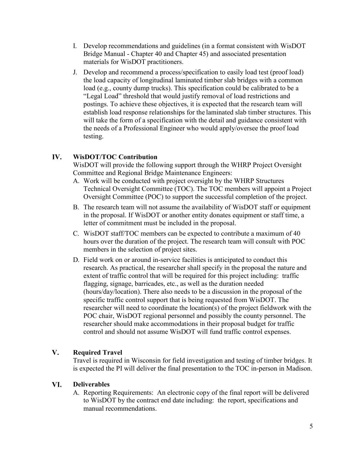- I. Develop recommendations and guidelines (in a format consistent with WisDOT Bridge Manual - Chapter 40 and Chapter 45) and associated presentation materials for WisDOT practitioners.
- J. Develop and recommend a process/specification to easily load test (proof load) the load capacity of longitudinal laminated timber slab bridges with a common load (e.g., county dump trucks). This specification could be calibrated to be a "Legal Load" threshold that would justify removal of load restrictions and postings. To achieve these objectives, it is expected that the research team will establish load response relationships for the laminated slab timber structures. This will take the form of a specification with the detail and guidance consistent with the needs of a Professional Engineer who would apply/oversee the proof load testing.

#### $IV.$ **WisDOT/TOC Contribution**

WisDOT will provide the following support through the WHRP Project Oversight Committee and Regional Bridge Maintenance Engineers:

- A. Work will be conducted with project oversight by the WHRP Structures Technical Oversight Committee (TOC). The TOC members will appoint a Project Oversight Committee (POC) to support the successful completion of the project.
- B. The research team will not assume the availability of WisDOT staff or equipment in the proposal. If WisDOT or another entity donates equipment or staff time, a letter of commitment must be included in the proposal.
- C. WisDOT staff/TOC members can be expected to contribute a maximum of 40 hours over the duration of the project. The research team will consult with POC members in the selection of project sites.
- D. Field work on or around in-service facilities is anticipated to conduct this research. As practical, the researcher shall specify in the proposal the nature and extent of traffic control that will be required for this project including: traffic flagging, signage, barricades, etc., as well as the duration needed (hours/day/location). There also needs to be a discussion in the proposal of the specific traffic control support that is being requested from WisDOT. The researcher will need to coordinate the location(s) of the project fieldwork with the POC chair, WisDOT regional personnel and possibly the county personnel. The researcher should make accommodations in their proposal budget for traffic control and should not assume WisDOT will fund traffic control expenses.

#### $V_{\bullet}$ **Required Travel**

Travel is required in Wisconsin for field investigation and testing of timber bridges. It is expected the PI will deliver the final presentation to the TOC in-person in Madison.

#### VI. **Deliverables**

A. Reporting Requirements: An electronic copy of the final report will be delivered to WisDOT by the contract end date including: the report, specifications and manual recommendations.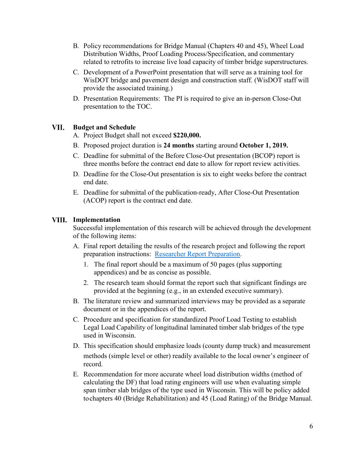- B. Policy recommendations for Bridge Manual (Chapters 40 and 45), Wheel Load Distribution Widths, Proof Loading Process/Specification, and commentary related to retrofits to increase live load capacity of timber bridge superstructures.
- C. Development of a PowerPoint presentation that will serve as a training tool for WisDOT bridge and pavement design and construction staff. (WisDOT staff will provide the associated training.)
- D. Presentation Requirements: The PI is required to give an in-person Close-Out presentation to the TOC.

#### VII. **Budget and Schedule**

- A. Project Budget shall not exceed **\$220,000.**
- B. Proposed project duration is **24 months** starting around **October 1, 2019.**
- C. Deadline for submittal of the Before Close-Out presentation (BCOP) report is three months before the contract end date to allow for report review activities.
- D. Deadline for the Close-Out presentation is six to eight weeks before the contract end date.
- E. Deadline for submittal of the publication-ready, After Close-Out Presentation (ACOP) report is the contract end date.

## **Implementation**

Successful implementation of this research will be achieved through the development of the following items:

- A. Final report detailing the results of the research project and following the report preparation instructions: [Researcher Report Preparation.](https://wisconsindot.gov/Pages/about-wisdot/research/researchers.aspx)
	- 1. The final report should be a maximum of 50 pages (plus supporting appendices) and be as concise as possible.
	- 2. The research team should format the report such that significant findings are provided at the beginning (e.g., in an extended executive summary).
- B. The literature review and summarized interviews may be provided as a separate document or in the appendices of the report.
- C. Procedure and specification for standardized Proof Load Testing to establish Legal Load Capability of longitudinal laminated timber slab bridges of the type used in Wisconsin.
- D. This specification should emphasize loads (county dump truck) and measurement methods (simple level or other) readily available to the local owner's engineer of record.
- E. Recommendation for more accurate wheel load distribution widths (method of calculating the DF) that load rating engineers will use when evaluating simple span timber slab bridges of the type used in Wisconsin. This will be policy added tochapters 40 (Bridge Rehabilitation) and 45 (Load Rating) of the Bridge Manual.